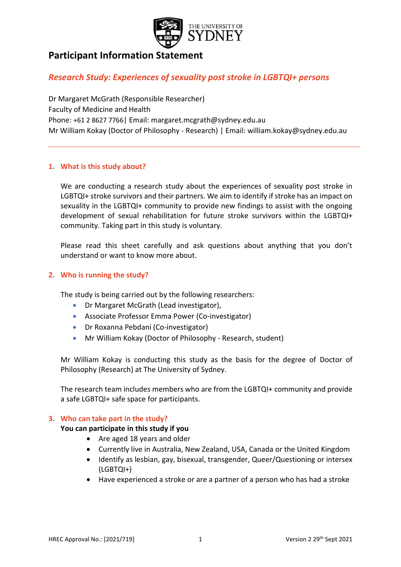

# **Participant Information Statement**

## *Research Study: Experiences of sexuality post stroke in LGBTQI+ persons*

Dr Margaret McGrath (Responsible Researcher) Faculty of Medicine and Health Phone: +61 2 8627 7766| Email: margaret.mcgrath@sydney.edu.au Mr William Kokay (Doctor of Philosophy - Research) | Email: william.kokay@sydney.edu.au

## **1. What is this study about?**

We are conducting a research study about the experiences of sexuality post stroke in LGBTQI+ stroke survivors and their partners. We aim to identify if stroke has an impact on sexuality in the LGBTQI+ community to provide new findings to assist with the ongoing development of sexual rehabilitation for future stroke survivors within the LGBTQI+ community. Taking part in this study is voluntary.

Please read this sheet carefully and ask questions about anything that you don't understand or want to know more about.

## **2. Who is running the study?**

The study is being carried out by the following researchers:

- Dr Margaret McGrath (Lead investigator),
- Associate Professor Emma Power (Co-investigator)
- Dr Roxanna Pebdani (Co-investigator)
- Mr William Kokay (Doctor of Philosophy Research, student)

Mr William Kokay is conducting this study as the basis for the degree of Doctor of Philosophy (Research) at The University of Sydney.

The research team includes members who are from the LGBTQI+ community and provide a safe LGBTQI+ safe space for participants.

## **3. Who can take part in the study?**

## **You can participate in this study if you**

- Are aged 18 years and older
- Currently live in Australia, New Zealand, USA, Canada or the United Kingdom
- Identify as lesbian, gay, bisexual, transgender, Queer/Questioning or intersex (LGBTQI+)
- Have experienced a stroke or are a partner of a person who has had a stroke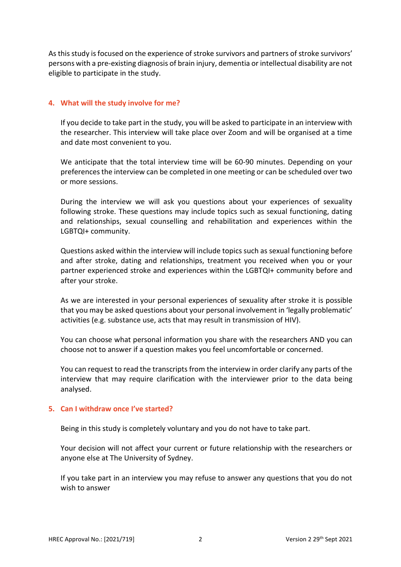As this study is focused on the experience of stroke survivors and partners of stroke survivors' persons with a pre-existing diagnosis of brain injury, dementia or intellectual disability are not eligible to participate in the study.

## **4. What will the study involve for me?**

If you decide to take part in the study, you will be asked to participate in an interview with the researcher. This interview will take place over Zoom and will be organised at a time and date most convenient to you.

We anticipate that the total interview time will be 60-90 minutes. Depending on your preferences the interview can be completed in one meeting or can be scheduled over two or more sessions.

During the interview we will ask you questions about your experiences of sexuality following stroke. These questions may include topics such as sexual functioning, dating and relationships, sexual counselling and rehabilitation and experiences within the LGBTQI+ community.

Questions asked within the interview will include topics such as sexual functioning before and after stroke, dating and relationships, treatment you received when you or your partner experienced stroke and experiences within the LGBTQI+ community before and after your stroke.

As we are interested in your personal experiences of sexuality after stroke it is possible that you may be asked questions about your personal involvement in 'legally problematic' activities (e.g. substance use, acts that may result in transmission of HIV).

You can choose what personal information you share with the researchers AND you can choose not to answer if a question makes you feel uncomfortable or concerned.

You can request to read the transcripts from the interview in order clarify any parts of the interview that may require clarification with the interviewer prior to the data being analysed.

## **5. Can I withdraw once I've started?**

Being in this study is completely voluntary and you do not have to take part.

Your decision will not affect your current or future relationship with the researchers or anyone else at The University of Sydney.

If you take part in an interview you may refuse to answer any questions that you do not wish to answer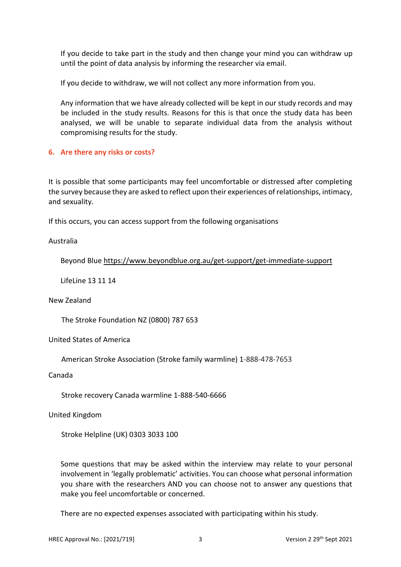If you decide to take part in the study and then change your mind you can withdraw up until the point of data analysis by informing the researcher via email.

If you decide to withdraw, we will not collect any more information from you.

Any information that we have already collected will be kept in our study records and may be included in the study results. Reasons for this is that once the study data has been analysed, we will be unable to separate individual data from the analysis without compromising results for the study.

## **6. Are there any risks or costs?**

It is possible that some participants may feel uncomfortable or distressed after completing the survey because they are asked to reflect upon their experiences of relationships, intimacy, and sexuality.

If this occurs, you can access support from the following organisations

## Australia

Beyond Blue<https://www.beyondblue.org.au/get-support/get-immediate-support>

LifeLine 13 11 14

New Zealand

The Stroke Foundation NZ (0800) 787 653

United States of America

American Stroke Association (Stroke family warmline) 1-888-478-7653

Canada

Stroke recovery Canada warmline 1-888-540-6666

United Kingdom

Stroke Helpline (UK) 0303 3033 100

Some questions that may be asked within the interview may relate to your personal involvement in 'legally problematic' activities. You can choose what personal information you share with the researchers AND you can choose not to answer any questions that make you feel uncomfortable or concerned.

There are no expected expenses associated with participating within his study.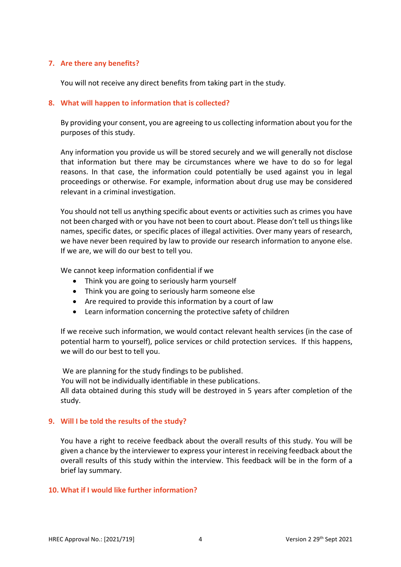## **7. Are there any benefits?**

You will not receive any direct benefits from taking part in the study.

## **8. What will happen to information that is collected?**

By providing your consent, you are agreeing to us collecting information about you for the purposes of this study.

Any information you provide us will be stored securely and we will generally not disclose that information but there may be circumstances where we have to do so for legal reasons. In that case, the information could potentially be used against you in legal proceedings or otherwise. For example, information about drug use may be considered relevant in a criminal investigation.

You should not tell us anything specific about events or activities such as crimes you have not been charged with or you have not been to court about. Please don't tell us things like names, specific dates, or specific places of illegal activities. Over many years of research, we have never been required by law to provide our research information to anyone else. If we are, we will do our best to tell you.

We cannot keep information confidential if we

- Think you are going to seriously harm yourself
- Think you are going to seriously harm someone else
- Are required to provide this information by a court of law
- Learn information concerning the protective safety of children

If we receive such information, we would contact relevant health services (in the case of potential harm to yourself), police services or child protection services. If this happens, we will do our best to tell you.

We are planning for the study findings to be published.

You will not be individually identifiable in these publications.

All data obtained during this study will be destroyed in 5 years after completion of the study.

## **9. Will I be told the results of the study?**

You have a right to receive feedback about the overall results of this study. You will be given a chance by the interviewer to express your interest in receiving feedback about the overall results of this study within the interview. This feedback will be in the form of a brief lay summary.

## **10. What if I would like further information?**